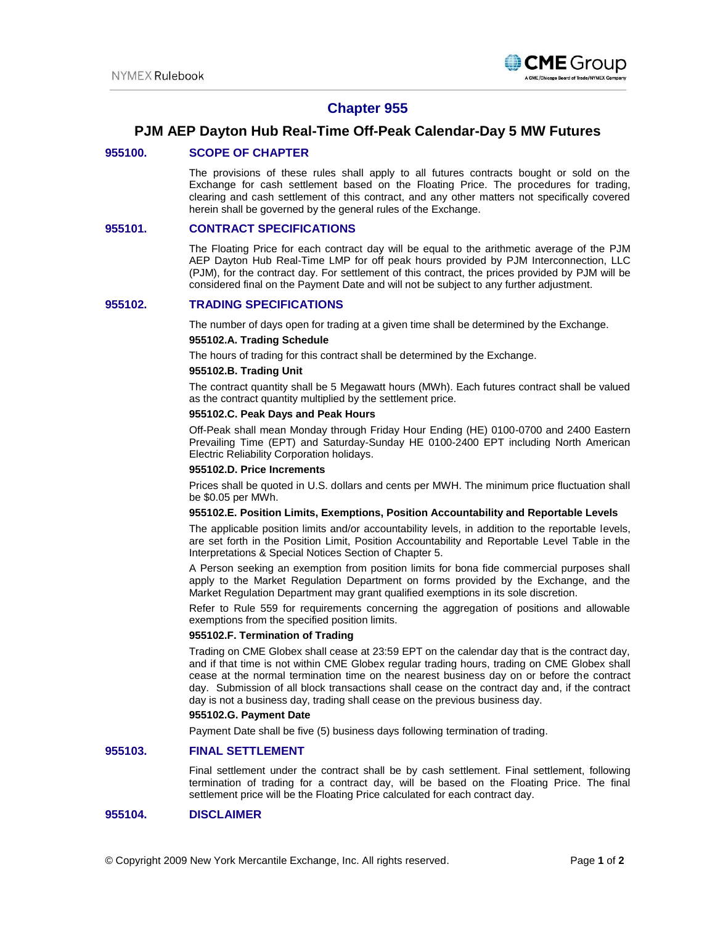

# **Chapter 955**

# **PJM AEP Dayton Hub Real-Time Off-Peak Calendar-Day 5 MW Futures**

## **955100. SCOPE OF CHAPTER**

The provisions of these rules shall apply to all futures contracts bought or sold on the Exchange for cash settlement based on the Floating Price. The procedures for trading, clearing and cash settlement of this contract, and any other matters not specifically covered herein shall be governed by the general rules of the Exchange.

## **955101. CONTRACT SPECIFICATIONS**

The Floating Price for each contract day will be equal to the arithmetic average of the PJM AEP Dayton Hub Real-Time LMP for off peak hours provided by PJM Interconnection, LLC (PJM), for the contract day. For settlement of this contract, the prices provided by PJM will be considered final on the Payment Date and will not be subject to any further adjustment.

## **955102. TRADING SPECIFICATIONS**

The number of days open for trading at a given time shall be determined by the Exchange.

### **955102.A. Trading Schedule**

The hours of trading for this contract shall be determined by the Exchange.

#### **955102.B. Trading Unit**

The contract quantity shall be 5 Megawatt hours (MWh). Each futures contract shall be valued as the contract quantity multiplied by the settlement price.

## **955102.C. Peak Days and Peak Hours**

Off-Peak shall mean Monday through Friday Hour Ending (HE) 0100-0700 and 2400 Eastern Prevailing Time (EPT) and Saturday-Sunday HE 0100-2400 EPT including North American Electric Reliability Corporation holidays.

### **955102.D. Price Increments**

Prices shall be quoted in U.S. dollars and cents per MWH. The minimum price fluctuation shall be \$0.05 per MWh.

#### **955102.E. Position Limits, Exemptions, Position Accountability and Reportable Levels**

The applicable position limits and/or accountability levels, in addition to the reportable levels, are set forth in the Position Limit, Position Accountability and Reportable Level Table in the Interpretations & Special Notices Section of Chapter 5.

A Person seeking an exemption from position limits for bona fide commercial purposes shall apply to the Market Regulation Department on forms provided by the Exchange, and the Market Regulation Department may grant qualified exemptions in its sole discretion.

Refer to Rule 559 for requirements concerning the aggregation of positions and allowable exemptions from the specified position limits.

### **955102.F. Termination of Trading**

Trading on CME Globex shall cease at 23:59 EPT on the calendar day that is the contract day, and if that time is not within CME Globex regular trading hours, trading on CME Globex shall cease at the normal termination time on the nearest business day on or before the contract day. Submission of all block transactions shall cease on the contract day and, if the contract day is not a business day, trading shall cease on the previous business day.

#### **955102.G. Payment Date**

Payment Date shall be five (5) business days following termination of trading.

## **955103. FINAL SETTLEMENT**

Final settlement under the contract shall be by cash settlement. Final settlement, following termination of trading for a contract day, will be based on the Floating Price. The final settlement price will be the Floating Price calculated for each contract day.

# **955104. DISCLAIMER**